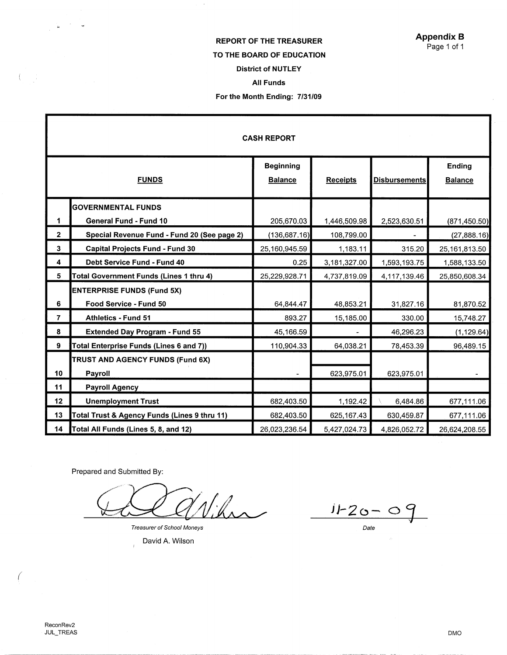# REPORT OF THE TREASURER

## TO THE **BOARD** OF EDUCATION

## District of NUTLEY

### All Funds

### For the Month Ending: 7/31/09

| <b>CASH REPORT</b> |                                                |                                    |                 |                      |                                 |  |  |
|--------------------|------------------------------------------------|------------------------------------|-----------------|----------------------|---------------------------------|--|--|
|                    | <b>FUNDS</b>                                   | <b>Beginning</b><br><b>Balance</b> | <b>Receipts</b> | <b>Disbursements</b> | <b>Ending</b><br><b>Balance</b> |  |  |
|                    | <b>GOVERNMENTAL FUNDS</b>                      |                                    |                 |                      |                                 |  |  |
| 1                  | General Fund - Fund 10                         | 205,670.03                         | 1,446,509.98    | 2,523,630.51         | (871, 450.50)                   |  |  |
| $\mathbf{2}$       | Special Revenue Fund - Fund 20 (See page 2)    | (136, 687.16)                      | 108,799.00      |                      | (27,888.16)                     |  |  |
| $\mathbf{3}$       | <b>Capital Projects Fund - Fund 30</b>         | 25,160,945.59                      | 1,183.11        | 315.20               | 25,161,813.50                   |  |  |
| 4                  | <b>Debt Service Fund - Fund 40</b>             | 0.25                               | 3,181,327.00    | 1,593,193.75         | 1,588,133.50                    |  |  |
| 5                  | <b>Total Government Funds (Lines 1 thru 4)</b> | 25,229,928.71                      | 4,737,819.09    | 4,117,139.46         | 25,850,608.34                   |  |  |
|                    | <b>ENTERPRISE FUNDS (Fund 5X)</b>              |                                    |                 |                      |                                 |  |  |
| 6                  | Food Service - Fund 50                         | 64,844.47                          | 48,853.21       | 31,827.16            | 81,870.52                       |  |  |
| 7                  | <b>Athletics - Fund 51</b>                     | 893.27                             | 15,185.00       | 330.00               | 15,748.27                       |  |  |
| 8                  | <b>Extended Day Program - Fund 55</b>          | 45,166.59                          |                 | 46,296.23            | (1, 129.64)                     |  |  |
| 9                  | Total Enterprise Funds (Lines 6 and 7))        | 110,904.33                         | 64,038.21       | 78,453.39            | 96,489.15                       |  |  |
|                    | TRUST AND AGENCY FUNDS (Fund 6X)               |                                    |                 |                      |                                 |  |  |
| 10                 | Payroll                                        |                                    | 623,975.01      | 623,975.01           |                                 |  |  |
| 11                 | <b>Payroll Agency</b>                          |                                    |                 |                      |                                 |  |  |
| 12                 | <b>Unemployment Trust</b>                      | 682,403.50                         | 1,192.42        | 6,484.86             | 677,111.06                      |  |  |
| 13                 | Total Trust & Agency Funds (Lines 9 thru 11)   | 682,403.50                         | 625,167.43      | 630,459.87           | 677,111.06                      |  |  |
| 14                 | Total All Funds (Lines 5, 8, and 12)           | 26,023,236.54                      | 5,427,024.73    | 4,826,052.72         | 26,624,208.55                   |  |  |

Prepared and Submitted By:

Vihn

Treasurer of School Moneys

David A. Wilson

JJ-2c:,- *01*  Date

 $\mathbb{C}^n$ 

*(* 

DMO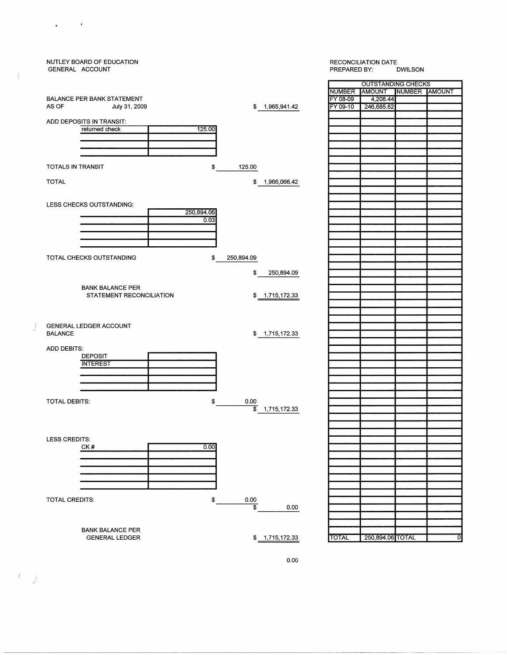| GENERAL ACCOUNT      | NUTLEY BOARD OF EDUCATION         |        |                 |                 | <b>RECONCILIATION DATE</b><br>PREPARED BY:<br><b>DWILSON</b> |                               |  |   |
|----------------------|-----------------------------------|--------|-----------------|-----------------|--------------------------------------------------------------|-------------------------------|--|---|
|                      |                                   |        |                 |                 |                                                              |                               |  |   |
|                      |                                   |        |                 |                 |                                                              | <b>OUTSTANDING CHECKS</b>     |  |   |
|                      |                                   |        |                 |                 | <b>NUMBER</b>                                                | <b>JAMOUNT NUMBER JAMOUNT</b> |  |   |
|                      | <b>BALANCE PER BANK STATEMENT</b> |        |                 |                 | FY 08-09                                                     | 4,208.44                      |  |   |
| AS OF                | July 31, 2009                     |        |                 | \$1,965,941.42  | FY 09-10                                                     | 246,685.62                    |  |   |
|                      |                                   |        |                 |                 |                                                              |                               |  |   |
|                      | ADD DEPOSITS IN TRANSIT:          |        |                 |                 |                                                              |                               |  |   |
|                      | returned check                    | 125.00 |                 |                 |                                                              |                               |  |   |
|                      |                                   |        |                 |                 |                                                              |                               |  |   |
|                      |                                   |        |                 |                 |                                                              |                               |  |   |
|                      |                                   |        |                 |                 |                                                              |                               |  |   |
|                      |                                   |        |                 |                 |                                                              |                               |  |   |
|                      |                                   |        |                 |                 |                                                              |                               |  |   |
| TOTALS IN TRANSIT    |                                   | \$     | 125.00          |                 |                                                              |                               |  |   |
|                      |                                   |        |                 |                 |                                                              |                               |  |   |
| <b>TOTAL</b>         |                                   |        | \$              | 1,966,066.42    |                                                              |                               |  |   |
|                      |                                   |        |                 |                 |                                                              |                               |  |   |
|                      |                                   |        |                 |                 |                                                              |                               |  |   |
|                      | LESS CHECKS OUTSTANDING:          |        |                 |                 |                                                              |                               |  |   |
|                      |                                   |        |                 |                 |                                                              |                               |  |   |
|                      | 250,894.06                        |        |                 |                 |                                                              |                               |  |   |
|                      |                                   | 0.03   |                 |                 |                                                              |                               |  |   |
|                      |                                   |        |                 |                 |                                                              |                               |  |   |
|                      |                                   |        |                 |                 |                                                              |                               |  |   |
|                      |                                   |        |                 |                 |                                                              |                               |  |   |
|                      |                                   |        |                 |                 |                                                              |                               |  |   |
|                      | TOTAL CHECKS OUTSTANDING          | \$     |                 |                 |                                                              |                               |  |   |
|                      |                                   |        | 250,894.09      |                 |                                                              |                               |  |   |
|                      |                                   |        |                 |                 |                                                              |                               |  |   |
|                      |                                   |        | \$              | 250,894.09      |                                                              |                               |  |   |
|                      |                                   |        |                 |                 |                                                              |                               |  |   |
|                      | <b>BANK BALANCE PER</b>           |        |                 |                 |                                                              |                               |  |   |
|                      | STATEMENT RECONCILIATION          |        |                 | \$ 1,715,172.33 |                                                              |                               |  |   |
|                      |                                   |        |                 |                 |                                                              |                               |  |   |
|                      |                                   |        |                 |                 |                                                              |                               |  |   |
|                      |                                   |        |                 |                 |                                                              |                               |  |   |
|                      |                                   |        |                 |                 |                                                              |                               |  |   |
|                      | GENERAL LEDGER ACCOUNT            |        |                 |                 |                                                              |                               |  |   |
| <b>BALANCE</b>       |                                   |        |                 | \$ 1,715,172.33 |                                                              |                               |  |   |
|                      |                                   |        |                 |                 |                                                              |                               |  |   |
| <b>ADD DEBITS:</b>   |                                   |        |                 |                 |                                                              |                               |  |   |
|                      | DEPOSIT                           |        |                 |                 |                                                              |                               |  |   |
|                      |                                   |        |                 |                 |                                                              |                               |  |   |
|                      | <b>INTEREST</b>                   |        |                 |                 |                                                              |                               |  |   |
|                      |                                   |        |                 |                 |                                                              |                               |  |   |
|                      |                                   |        |                 |                 |                                                              |                               |  |   |
|                      |                                   |        |                 |                 |                                                              |                               |  |   |
|                      |                                   |        |                 |                 |                                                              |                               |  |   |
| <b>TOTAL DEBITS:</b> |                                   | \$     | 0.00            |                 |                                                              |                               |  |   |
|                      |                                   |        | $\overline{\$}$ | 1,715,172.33    |                                                              |                               |  |   |
|                      |                                   |        |                 |                 |                                                              |                               |  |   |
|                      |                                   |        |                 |                 |                                                              |                               |  |   |
|                      |                                   |        |                 |                 |                                                              |                               |  |   |
|                      |                                   |        |                 |                 |                                                              |                               |  |   |
| LESS CREDITS:        |                                   |        |                 |                 |                                                              |                               |  |   |
|                      | CK#                               | 0.00   |                 |                 |                                                              |                               |  |   |
|                      |                                   |        |                 |                 |                                                              |                               |  |   |
|                      |                                   |        |                 |                 |                                                              |                               |  |   |
|                      |                                   |        |                 |                 |                                                              |                               |  |   |
|                      |                                   |        |                 |                 |                                                              |                               |  |   |
|                      |                                   |        |                 |                 |                                                              |                               |  |   |
|                      |                                   |        |                 |                 |                                                              |                               |  |   |
|                      |                                   |        |                 |                 |                                                              |                               |  |   |
| TOTAL CREDITS:       |                                   | \$     | $rac{0.00}{1}$  |                 |                                                              |                               |  |   |
|                      |                                   |        |                 | 0.00            |                                                              |                               |  |   |
|                      |                                   |        |                 |                 |                                                              |                               |  |   |
|                      |                                   |        |                 |                 |                                                              |                               |  |   |
|                      |                                   |        |                 |                 |                                                              |                               |  |   |
|                      | <b>BANK BALANCE PER</b>           |        |                 |                 |                                                              |                               |  |   |
|                      | <b>GENERAL LEDGER</b>             |        |                 | \$1,715,172.33  | <b>TOTAL</b>                                                 | 250,894.06 TOTAL              |  | 0 |
|                      |                                   |        |                 |                 |                                                              |                               |  |   |
|                      |                                   |        |                 |                 |                                                              |                               |  |   |

 $\mathcal{A}$ 

 $\bullet$ 

 $\overline{C}$ 

 $\left( \begin{array}{c} 1 \\ -1 \end{array} \right)$ 

0.00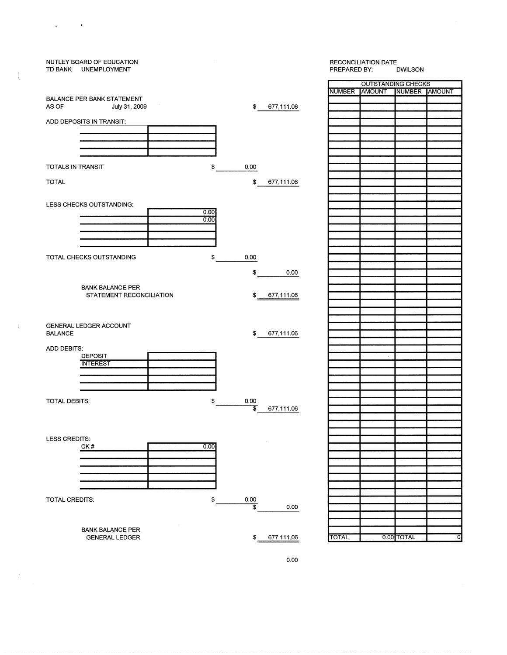

0.00

 $\mathbf{g} = \left( \begin{array}{ccc} 0 & \mathbf{0} & \mathbf{0} & \mathbf{0} \\ \mathbf{0} & \mathbf{0} & \mathbf{0} & \mathbf{0} \end{array} \right)$ 

-í.

 $\frac{1}{2}$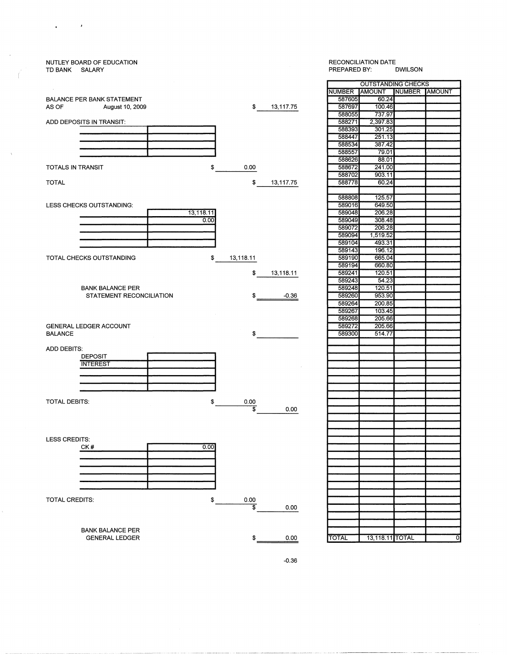### NUTLEY BOARD OF EDUCATION TD BANK SALARY

 $\mathcal{L}^{\mathcal{L}}$ 

 $\bullet$ 

### RECONCILIATION DATE<br>PREPARED BY: DWILSON PREPARED BY:



|               | <b>OUTSTANDING CHECKS</b> |               |   |
|---------------|---------------------------|---------------|---|
| <b>NUMBER</b> | <b>AMOUNT</b>             | NUMBER AMOUNT |   |
| 587605        | 60.24                     |               |   |
| 587697        | 100.46                    |               |   |
| 588055        | 737.97                    |               |   |
| 588271        | 2,397.83                  |               |   |
| 588393        | 301.25                    |               |   |
| 588447        | 251.13                    |               |   |
| 588534        | 387.42                    |               |   |
| 588557        | 79.01                     |               |   |
| 588626        | 88.01                     |               |   |
| 588672        | 241.00                    |               |   |
| 588702        | 903.11                    |               |   |
| 588778        | 60.24                     |               |   |
|               |                           |               |   |
| 588808        | 125.57                    |               |   |
| 589016        | 649.50                    |               |   |
| 589048        | 206.28                    |               |   |
| 589049        | 308.48                    |               |   |
| 589072        | 206.28                    |               |   |
| 589094        | 1,519.52                  |               |   |
| 589104        | 493.31                    |               |   |
| 589143        | 196.12                    |               |   |
| 589190        | 665.04                    |               |   |
| 589194        | 660.80                    |               |   |
| 589241        | 120.51                    |               |   |
| 589243        | 54.23                     |               |   |
| 589248        | 120.51                    |               |   |
| 589260        | 953.90                    |               |   |
| 589264        | 200.85                    |               |   |
| 589267        | 103.45                    |               |   |
| 589268        | 205.66                    |               |   |
| 589272        | 205.66                    |               |   |
| 589300        | 514.77                    |               |   |
|               |                           |               |   |
|               |                           |               |   |
|               |                           |               |   |
|               |                           |               |   |
|               |                           |               |   |
|               |                           |               |   |
|               |                           |               |   |
|               |                           |               |   |
|               |                           |               |   |
|               |                           |               |   |
|               |                           |               |   |
|               |                           |               |   |
|               |                           |               |   |
|               |                           |               |   |
|               |                           |               |   |
|               |                           |               |   |
|               |                           |               |   |
|               |                           |               |   |
|               |                           |               |   |
|               |                           |               |   |
|               |                           |               |   |
|               |                           |               |   |
|               |                           |               |   |
|               |                           |               |   |
|               |                           |               |   |
|               |                           |               |   |
| TOTAL         | 13,118.11 TOTAL           |               | σ |
|               |                           |               |   |



------ --------~- -----------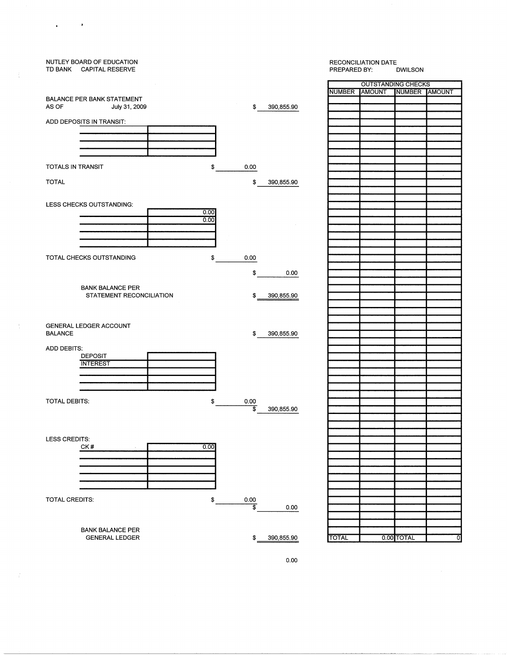# NUTLEY BOARD OF EDUCATION TD BANK CAPITAL RESERVE BALANCE PER BANK STATEMENT AS OF July 31, 2009 \$ 390,855.90 ADD DEPOSITS IN TRANSIT: 0.00 TOTALS IN TRANSIT \$ TOTAL \$ 390,855.90  $\frac{0.00}{0.00}$ LESS CHECKS OUTSTANDING: TOTAL CHECKS OUTSTANDING 0.00 \$ \$ 0.00 BANK BALANCE PER STATEMENT RECONCILIATION \$ 390,855.90 GENERAL LEDGER ACCOUNT BALANCE \$ 390,855.90 ADD DEBITS: DEPOSIT **INTEREST** TOTAL DEBITS: \$  $rac{0.00}{1}$ \$ 390,855.90 LESS CREDITS: CK#  $0.00$ 001<br>1900 - Paris TOTAL CREDITS: \$  $rac{0.00}{$}$ 0.00 BANK BALANCE PER

GENERAL LEDGER

 $\sim$   $\bullet$ 

 $\bullet$ 

 $\hat{\tau}$ 

### RECONCILIATION DATE<br>PREPARED BY: DWILSON PREPARED BY:

| <b>OUTSTANDING CHECKS</b> |                      |            |                |  |  |  |  |
|---------------------------|----------------------|------------|----------------|--|--|--|--|
| <b>NUMBER</b>             | AMOUNT NUMBER AMOUNT |            |                |  |  |  |  |
|                           |                      |            |                |  |  |  |  |
|                           |                      |            |                |  |  |  |  |
|                           |                      |            |                |  |  |  |  |
|                           |                      |            |                |  |  |  |  |
|                           |                      |            |                |  |  |  |  |
|                           |                      |            |                |  |  |  |  |
|                           |                      |            |                |  |  |  |  |
|                           |                      |            |                |  |  |  |  |
|                           |                      |            |                |  |  |  |  |
|                           |                      |            |                |  |  |  |  |
|                           |                      |            | ï              |  |  |  |  |
|                           |                      |            |                |  |  |  |  |
|                           |                      |            |                |  |  |  |  |
|                           |                      |            |                |  |  |  |  |
|                           |                      |            |                |  |  |  |  |
|                           |                      |            |                |  |  |  |  |
|                           |                      |            |                |  |  |  |  |
|                           |                      |            |                |  |  |  |  |
|                           |                      |            |                |  |  |  |  |
|                           |                      |            |                |  |  |  |  |
|                           |                      |            |                |  |  |  |  |
|                           |                      |            |                |  |  |  |  |
|                           |                      |            |                |  |  |  |  |
|                           |                      |            |                |  |  |  |  |
|                           |                      |            |                |  |  |  |  |
|                           |                      |            |                |  |  |  |  |
|                           |                      |            |                |  |  |  |  |
|                           |                      |            |                |  |  |  |  |
|                           |                      |            |                |  |  |  |  |
|                           |                      |            |                |  |  |  |  |
|                           |                      |            |                |  |  |  |  |
|                           |                      |            |                |  |  |  |  |
|                           |                      |            |                |  |  |  |  |
|                           |                      |            |                |  |  |  |  |
|                           |                      |            |                |  |  |  |  |
|                           |                      |            |                |  |  |  |  |
|                           |                      |            |                |  |  |  |  |
|                           |                      |            |                |  |  |  |  |
|                           |                      |            |                |  |  |  |  |
|                           |                      |            |                |  |  |  |  |
|                           |                      |            |                |  |  |  |  |
|                           |                      |            |                |  |  |  |  |
|                           |                      |            |                |  |  |  |  |
|                           |                      |            |                |  |  |  |  |
|                           |                      |            |                |  |  |  |  |
|                           |                      |            |                |  |  |  |  |
|                           |                      |            |                |  |  |  |  |
|                           |                      |            |                |  |  |  |  |
|                           |                      |            |                |  |  |  |  |
|                           |                      |            |                |  |  |  |  |
|                           |                      |            |                |  |  |  |  |
|                           |                      |            |                |  |  |  |  |
|                           |                      |            |                |  |  |  |  |
|                           |                      |            |                |  |  |  |  |
|                           |                      |            |                |  |  |  |  |
|                           |                      |            |                |  |  |  |  |
|                           |                      |            |                |  |  |  |  |
|                           |                      |            |                |  |  |  |  |
| <b>TOTAL</b>              |                      | 0.00 TOTAL | $\overline{0}$ |  |  |  |  |

0.00

 $$ 390,855.90$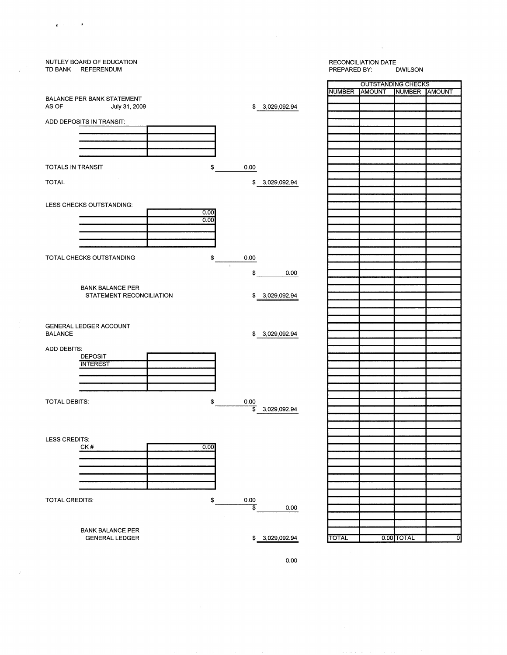

 $\mathbf{s} = \mathbf{r}^{\top}$  ,  $\mathbf{s} = \mathbf{R}$ 

0.00